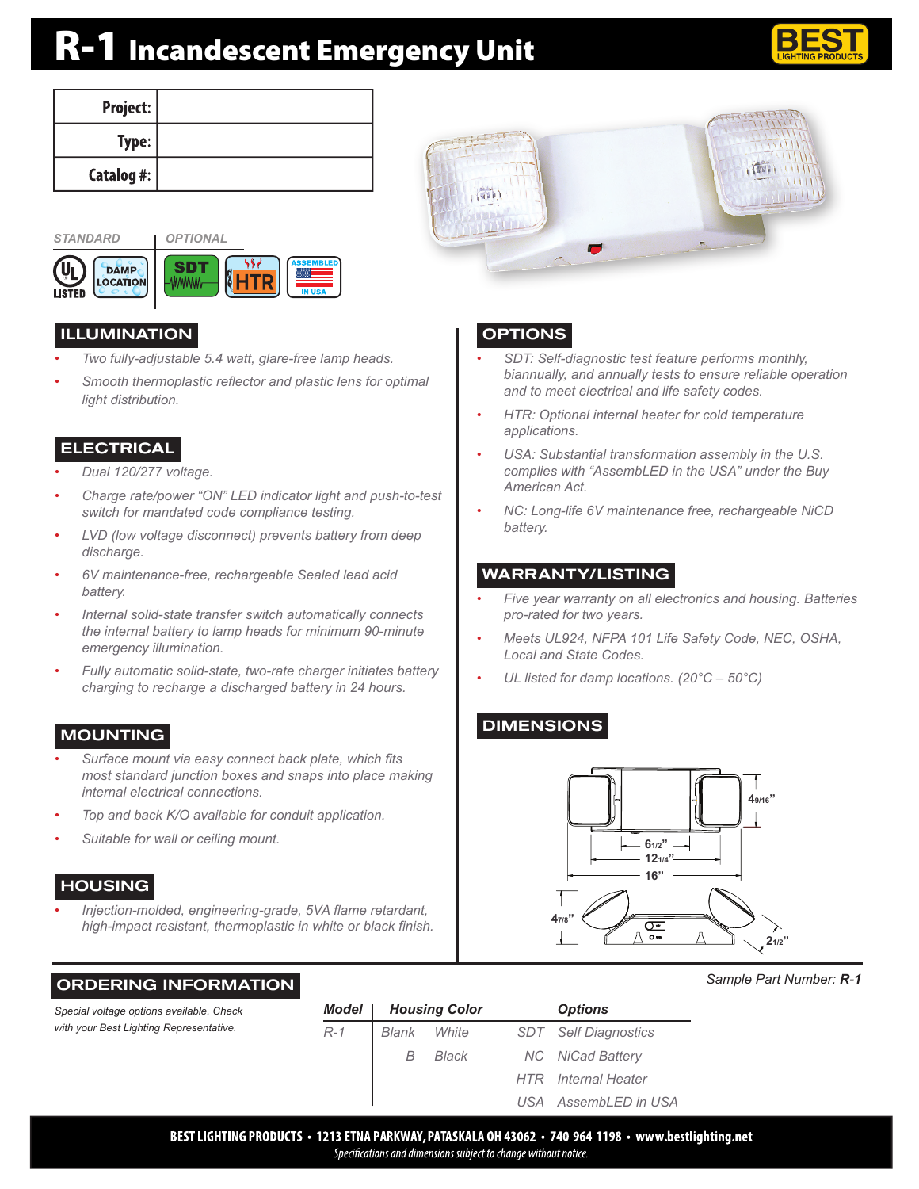# R-1 Incandescent Emergency Unit



TIEL

| Project:   |  |
|------------|--|
| Type:      |  |
| Catalog #: |  |



#### ILLUMINATION

- *• Two fully-adjustable 5.4 watt, glare-free lamp heads.*
- *• Smooth thermoplastic reflector and plastic lens for optimal light distribution.*

#### **ELECTRICAL**

- *• Dual 120/277 voltage.*
- *• Charge rate/power "ON" LED indicator light and push-to-test switch for mandated code compliance testing.*
- *• LVD (low voltage disconnect) prevents battery from deep discharge.*
- *• 6V maintenance-free, rechargeable Sealed lead acid battery.*
- *• Internal solid-state transfer switch automatically connects the internal battery to lamp heads for minimum 90-minute emergency illumination.*
- *• Fully automatic solid-state, two-rate charger initiates battery charging to recharge a discharged battery in 24 hours.*

### MOUNTING

- *• Surface mount via easy connect back plate, which fits most standard junction boxes and snaps into place making internal electrical connections.*
- *• Top and back K/O available for conduit application.*
- *• Suitable for wall or ceiling mount.*

ORDERING INFORMATION

#### **HOUSING**

*• Injection-molded, engineering-grade, 5VA flame retardant, high-impact resistant, thermoplastic in white or black finish.*

# **OPTIONS**

 $\sqrt{25}$ 

- *• SDT: Self-diagnostic test feature performs monthly, biannually, and annually tests to ensure reliable operation and to meet electrical and life safety codes.*
- *• HTR: Optional internal heater for cold temperature applications.*
- *• USA: Substantial transformation assembly in the U.S. complies with "AssembLED in the USA" under the Buy American Act.*
- *• NC: Long-life 6V maintenance free, rechargeable NiCD battery.*

#### WARRANTY/LISTING

- *• Five year warranty on all electronics and housing. Batteries pro-rated for two years.*
- *• Meets UL924, NFPA 101 Life Safety Code, NEC, OSHA, Local and State Codes.*
- *• UL listed for damp locations. (20°C 50°C)*

## DIMENSIONS



*Sample Part Number: R-1*

| Special voltage options available. Check | Model |       | <b>Housing Color</b> | <b>Options</b> |                         |  |
|------------------------------------------|-------|-------|----------------------|----------------|-------------------------|--|
| with your Best Lighting Representative.  | $R-1$ | Blank | White                | SDT            | <b>Self Diagnostics</b> |  |
|                                          |       | B     | Black                |                | <b>NC</b> NiCad Battery |  |
|                                          |       |       |                      | HTR .          | <b>Internal Heater</b>  |  |
|                                          |       |       |                      | USA            | AssembLED in USA        |  |